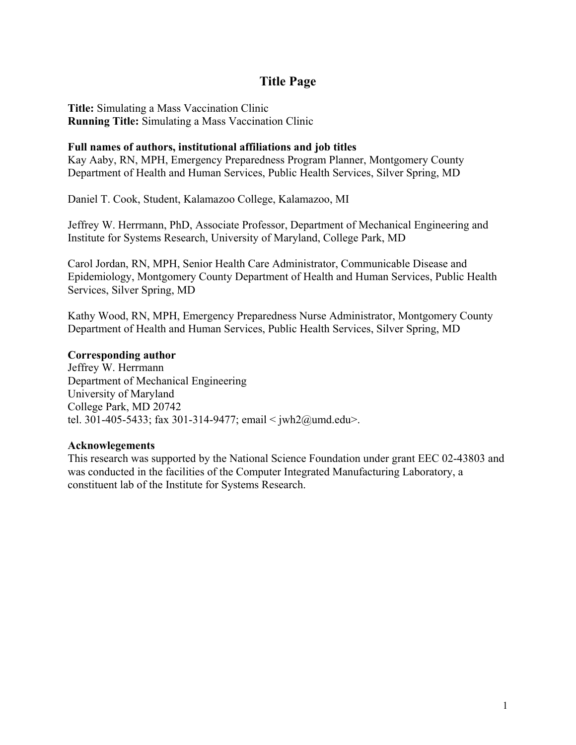# **Title Page**

**Title:** Simulating a Mass Vaccination Clinic **Running Title:** Simulating a Mass Vaccination Clinic

# **Full names of authors, institutional affiliations and job titles**

Kay Aaby, RN, MPH, Emergency Preparedness Program Planner, Montgomery County Department of Health and Human Services, Public Health Services, Silver Spring, MD

Daniel T. Cook, Student, Kalamazoo College, Kalamazoo, MI

Jeffrey W. Herrmann, PhD, Associate Professor, Department of Mechanical Engineering and Institute for Systems Research, University of Maryland, College Park, MD

Carol Jordan, RN, MPH, Senior Health Care Administrator, Communicable Disease and Epidemiology, Montgomery County Department of Health and Human Services, Public Health Services, Silver Spring, MD

Kathy Wood, RN, MPH, Emergency Preparedness Nurse Administrator, Montgomery County Department of Health and Human Services, Public Health Services, Silver Spring, MD

## **Corresponding author**

Jeffrey W. Herrmann Department of Mechanical Engineering University of Maryland College Park, MD 20742 tel. 301-405-5433; fax 301-314-9477; email < jwh2@umd.edu>.

## **Acknowlegements**

This research was supported by the National Science Foundation under grant EEC 02-43803 and was conducted in the facilities of the Computer Integrated Manufacturing Laboratory, a constituent lab of the Institute for Systems Research.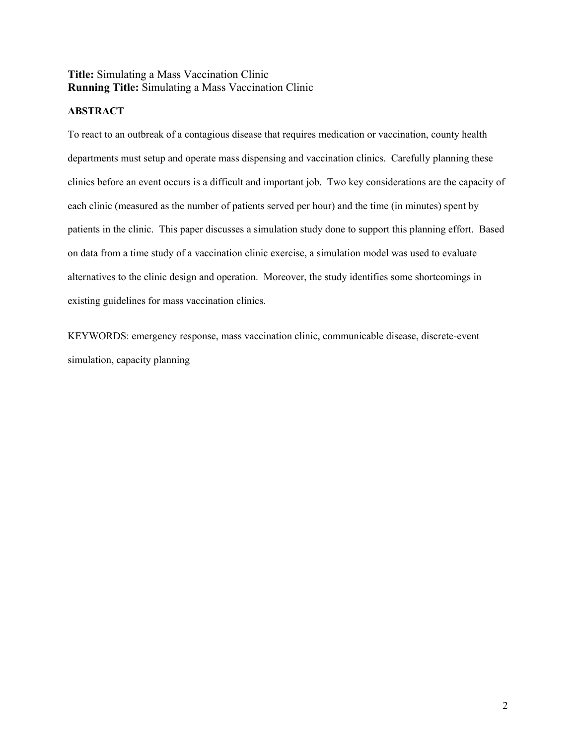# **Title:** Simulating a Mass Vaccination Clinic **Running Title:** Simulating a Mass Vaccination Clinic

# **ABSTRACT**

To react to an outbreak of a contagious disease that requires medication or vaccination, county health departments must setup and operate mass dispensing and vaccination clinics. Carefully planning these clinics before an event occurs is a difficult and important job. Two key considerations are the capacity of each clinic (measured as the number of patients served per hour) and the time (in minutes) spent by patients in the clinic. This paper discusses a simulation study done to support this planning effort. Based on data from a time study of a vaccination clinic exercise, a simulation model was used to evaluate alternatives to the clinic design and operation. Moreover, the study identifies some shortcomings in existing guidelines for mass vaccination clinics.

KEYWORDS: emergency response, mass vaccination clinic, communicable disease, discrete-event simulation, capacity planning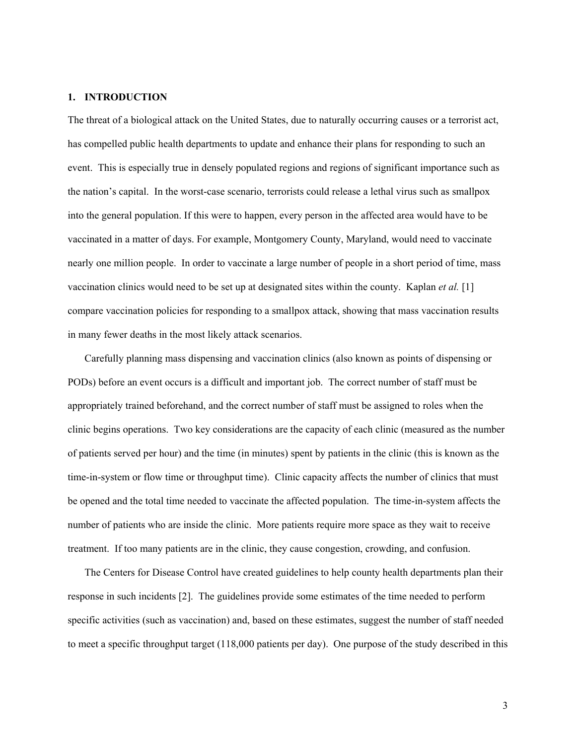#### **1. INTRODUCTION**

The threat of a biological attack on the United States, due to naturally occurring causes or a terrorist act, has compelled public health departments to update and enhance their plans for responding to such an event. This is especially true in densely populated regions and regions of significant importance such as the nation's capital. In the worst-case scenario, terrorists could release a lethal virus such as smallpox into the general population. If this were to happen, every person in the affected area would have to be vaccinated in a matter of days. For example, Montgomery County, Maryland, would need to vaccinate nearly one million people. In order to vaccinate a large number of people in a short period of time, mass vaccination clinics would need to be set up at designated sites within the county. Kaplan *et al.* [1] compare vaccination policies for responding to a smallpox attack, showing that mass vaccination results in many fewer deaths in the most likely attack scenarios.

Carefully planning mass dispensing and vaccination clinics (also known as points of dispensing or PODs) before an event occurs is a difficult and important job. The correct number of staff must be appropriately trained beforehand, and the correct number of staff must be assigned to roles when the clinic begins operations. Two key considerations are the capacity of each clinic (measured as the number of patients served per hour) and the time (in minutes) spent by patients in the clinic (this is known as the time-in-system or flow time or throughput time). Clinic capacity affects the number of clinics that must be opened and the total time needed to vaccinate the affected population. The time-in-system affects the number of patients who are inside the clinic. More patients require more space as they wait to receive treatment. If too many patients are in the clinic, they cause congestion, crowding, and confusion.

The Centers for Disease Control have created guidelines to help county health departments plan their response in such incidents [2]. The guidelines provide some estimates of the time needed to perform specific activities (such as vaccination) and, based on these estimates, suggest the number of staff needed to meet a specific throughput target (118,000 patients per day). One purpose of the study described in this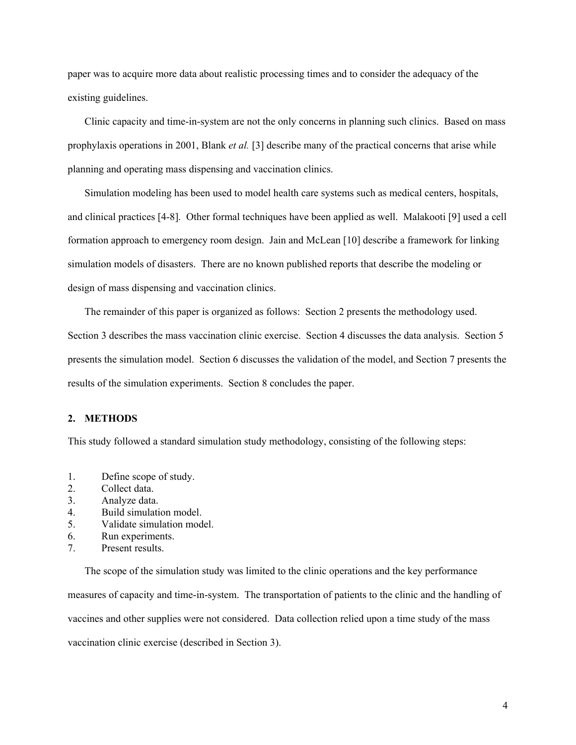paper was to acquire more data about realistic processing times and to consider the adequacy of the existing guidelines.

Clinic capacity and time-in-system are not the only concerns in planning such clinics. Based on mass prophylaxis operations in 2001, Blank *et al.* [3] describe many of the practical concerns that arise while planning and operating mass dispensing and vaccination clinics.

Simulation modeling has been used to model health care systems such as medical centers, hospitals, and clinical practices [4-8]. Other formal techniques have been applied as well. Malakooti [9] used a cell formation approach to emergency room design. Jain and McLean [10] describe a framework for linking simulation models of disasters. There are no known published reports that describe the modeling or design of mass dispensing and vaccination clinics.

The remainder of this paper is organized as follows: Section 2 presents the methodology used. Section 3 describes the mass vaccination clinic exercise. Section 4 discusses the data analysis. Section 5 presents the simulation model. Section 6 discusses the validation of the model, and Section 7 presents the results of the simulation experiments. Section 8 concludes the paper.

#### **2. METHODS**

This study followed a standard simulation study methodology, consisting of the following steps:

- 1. Define scope of study.
- 2. Collect data.
- 3. Analyze data.
- 4. Build simulation model.
- 5. Validate simulation model.
- 6. Run experiments.
- 7. Present results.

The scope of the simulation study was limited to the clinic operations and the key performance measures of capacity and time-in-system. The transportation of patients to the clinic and the handling of vaccines and other supplies were not considered. Data collection relied upon a time study of the mass vaccination clinic exercise (described in Section 3).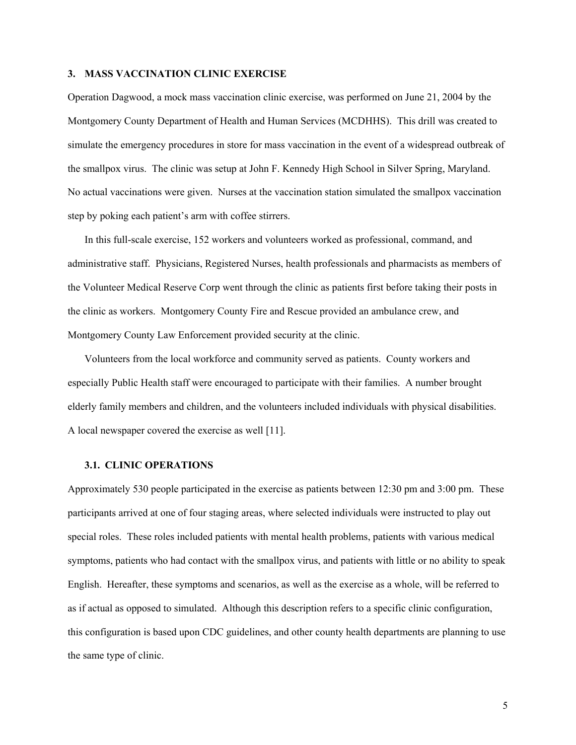#### **3. MASS VACCINATION CLINIC EXERCISE**

Operation Dagwood, a mock mass vaccination clinic exercise, was performed on June 21, 2004 by the Montgomery County Department of Health and Human Services (MCDHHS). This drill was created to simulate the emergency procedures in store for mass vaccination in the event of a widespread outbreak of the smallpox virus. The clinic was setup at John F. Kennedy High School in Silver Spring, Maryland. No actual vaccinations were given. Nurses at the vaccination station simulated the smallpox vaccination step by poking each patient's arm with coffee stirrers.

In this full-scale exercise, 152 workers and volunteers worked as professional, command, and administrative staff. Physicians, Registered Nurses, health professionals and pharmacists as members of the Volunteer Medical Reserve Corp went through the clinic as patients first before taking their posts in the clinic as workers. Montgomery County Fire and Rescue provided an ambulance crew, and Montgomery County Law Enforcement provided security at the clinic.

Volunteers from the local workforce and community served as patients. County workers and especially Public Health staff were encouraged to participate with their families. A number brought elderly family members and children, and the volunteers included individuals with physical disabilities. A local newspaper covered the exercise as well [11].

#### **3.1. CLINIC OPERATIONS**

Approximately 530 people participated in the exercise as patients between 12:30 pm and 3:00 pm. These participants arrived at one of four staging areas, where selected individuals were instructed to play out special roles. These roles included patients with mental health problems, patients with various medical symptoms, patients who had contact with the smallpox virus, and patients with little or no ability to speak English. Hereafter, these symptoms and scenarios, as well as the exercise as a whole, will be referred to as if actual as opposed to simulated. Although this description refers to a specific clinic configuration, this configuration is based upon CDC guidelines, and other county health departments are planning to use the same type of clinic.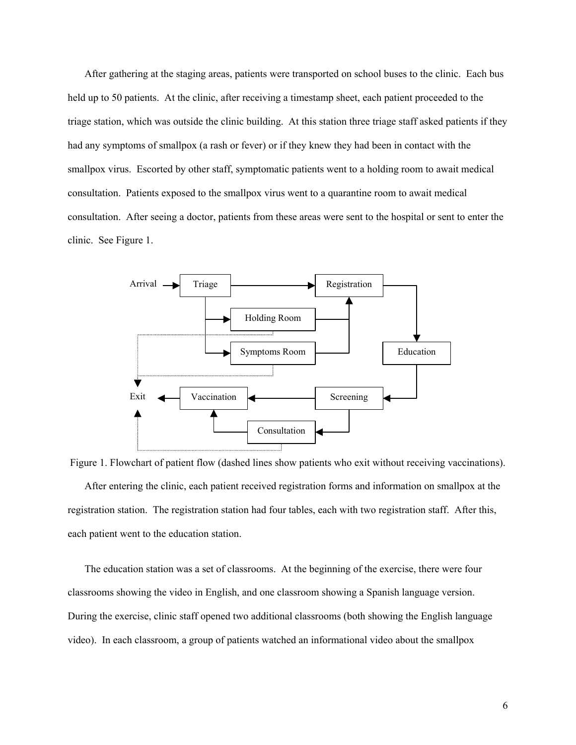After gathering at the staging areas, patients were transported on school buses to the clinic. Each bus held up to 50 patients. At the clinic, after receiving a timestamp sheet, each patient proceeded to the triage station, which was outside the clinic building. At this station three triage staff asked patients if they had any symptoms of smallpox (a rash or fever) or if they knew they had been in contact with the smallpox virus. Escorted by other staff, symptomatic patients went to a holding room to await medical consultation. Patients exposed to the smallpox virus went to a quarantine room to await medical consultation. After seeing a doctor, patients from these areas were sent to the hospital or sent to enter the clinic. See Figure 1.





The education station was a set of classrooms. At the beginning of the exercise, there were four classrooms showing the video in English, and one classroom showing a Spanish language version. During the exercise, clinic staff opened two additional classrooms (both showing the English language video). In each classroom, a group of patients watched an informational video about the smallpox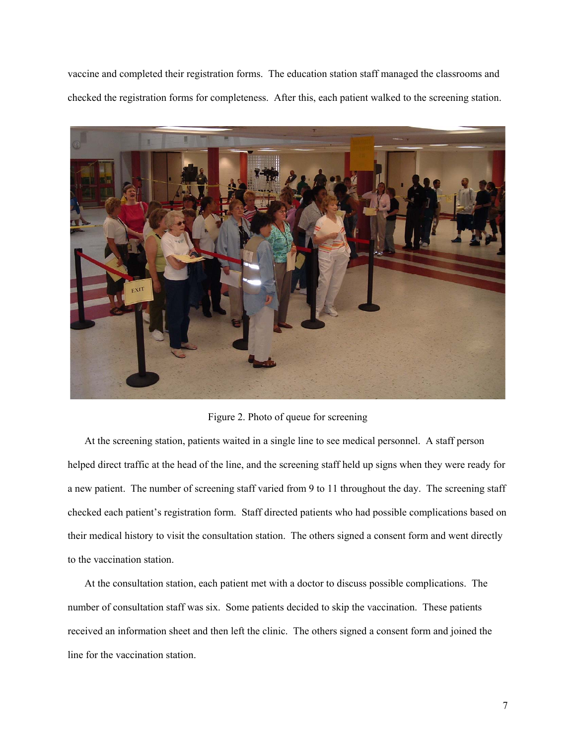vaccine and completed their registration forms. The education station staff managed the classrooms and checked the registration forms for completeness. After this, each patient walked to the screening station.



Figure 2. Photo of queue for screening

At the screening station, patients waited in a single line to see medical personnel. A staff person helped direct traffic at the head of the line, and the screening staff held up signs when they were ready for a new patient. The number of screening staff varied from 9 to 11 throughout the day. The screening staff checked each patient's registration form. Staff directed patients who had possible complications based on their medical history to visit the consultation station. The others signed a consent form and went directly to the vaccination station.

At the consultation station, each patient met with a doctor to discuss possible complications. The number of consultation staff was six. Some patients decided to skip the vaccination. These patients received an information sheet and then left the clinic. The others signed a consent form and joined the line for the vaccination station.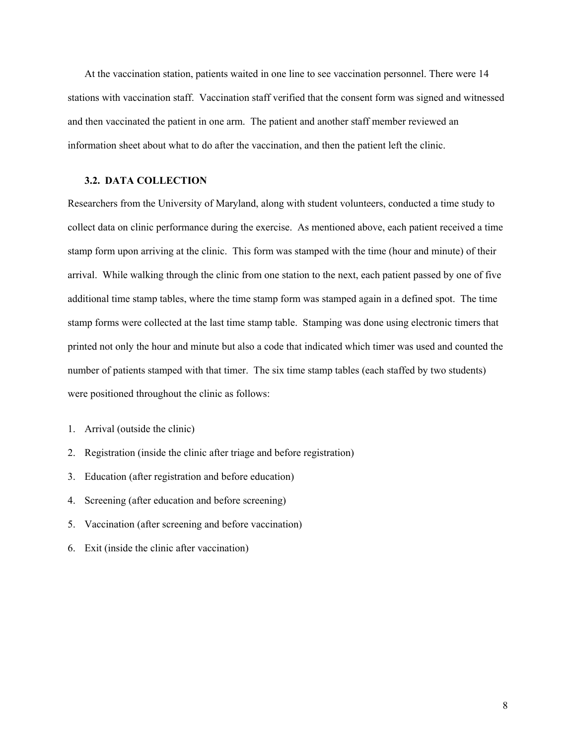At the vaccination station, patients waited in one line to see vaccination personnel. There were 14 stations with vaccination staff. Vaccination staff verified that the consent form was signed and witnessed and then vaccinated the patient in one arm. The patient and another staff member reviewed an information sheet about what to do after the vaccination, and then the patient left the clinic.

#### **3.2. DATA COLLECTION**

Researchers from the University of Maryland, along with student volunteers, conducted a time study to collect data on clinic performance during the exercise. As mentioned above, each patient received a time stamp form upon arriving at the clinic. This form was stamped with the time (hour and minute) of their arrival. While walking through the clinic from one station to the next, each patient passed by one of five additional time stamp tables, where the time stamp form was stamped again in a defined spot. The time stamp forms were collected at the last time stamp table. Stamping was done using electronic timers that printed not only the hour and minute but also a code that indicated which timer was used and counted the number of patients stamped with that timer. The six time stamp tables (each staffed by two students) were positioned throughout the clinic as follows:

- 1. Arrival (outside the clinic)
- 2. Registration (inside the clinic after triage and before registration)
- 3. Education (after registration and before education)
- 4. Screening (after education and before screening)
- 5. Vaccination (after screening and before vaccination)
- 6. Exit (inside the clinic after vaccination)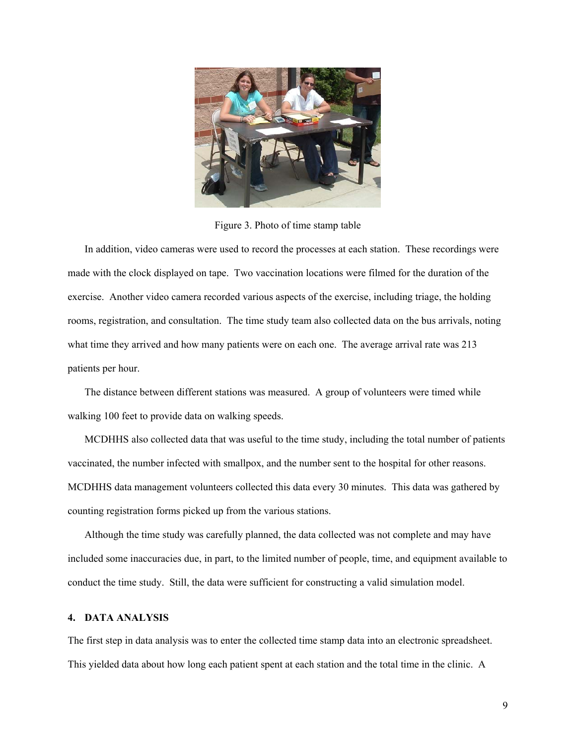

Figure 3. Photo of time stamp table

In addition, video cameras were used to record the processes at each station. These recordings were made with the clock displayed on tape. Two vaccination locations were filmed for the duration of the exercise. Another video camera recorded various aspects of the exercise, including triage, the holding rooms, registration, and consultation. The time study team also collected data on the bus arrivals, noting what time they arrived and how many patients were on each one. The average arrival rate was 213 patients per hour.

The distance between different stations was measured. A group of volunteers were timed while walking 100 feet to provide data on walking speeds.

MCDHHS also collected data that was useful to the time study, including the total number of patients vaccinated, the number infected with smallpox, and the number sent to the hospital for other reasons. MCDHHS data management volunteers collected this data every 30 minutes. This data was gathered by counting registration forms picked up from the various stations.

Although the time study was carefully planned, the data collected was not complete and may have included some inaccuracies due, in part, to the limited number of people, time, and equipment available to conduct the time study. Still, the data were sufficient for constructing a valid simulation model.

#### **4. DATA ANALYSIS**

The first step in data analysis was to enter the collected time stamp data into an electronic spreadsheet. This yielded data about how long each patient spent at each station and the total time in the clinic. A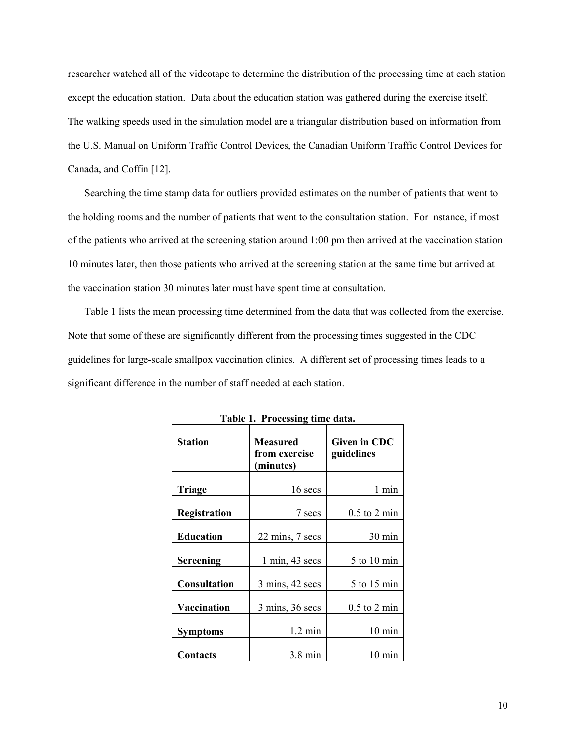researcher watched all of the videotape to determine the distribution of the processing time at each station except the education station. Data about the education station was gathered during the exercise itself. The walking speeds used in the simulation model are a triangular distribution based on information from the U.S. Manual on Uniform Traffic Control Devices, the Canadian Uniform Traffic Control Devices for Canada, and Coffin [12].

Searching the time stamp data for outliers provided estimates on the number of patients that went to the holding rooms and the number of patients that went to the consultation station. For instance, if most of the patients who arrived at the screening station around 1:00 pm then arrived at the vaccination station 10 minutes later, then those patients who arrived at the screening station at the same time but arrived at the vaccination station 30 minutes later must have spent time at consultation.

Table 1 lists the mean processing time determined from the data that was collected from the exercise. Note that some of these are significantly different from the processing times suggested in the CDC guidelines for large-scale smallpox vaccination clinics. A different set of processing times leads to a significant difference in the number of staff needed at each station.

| <b>Station</b>      | Measured<br>from exercise<br>(minutes) | Given in CDC<br>guidelines |
|---------------------|----------------------------------------|----------------------------|
| Triage              | 16 secs                                | 1 min                      |
| Registration        | 7 secs                                 | $0.5$ to 2 min             |
| <b>Education</b>    | 22 mins, 7 secs                        | $30 \text{ min}$           |
| <b>Screening</b>    | $1 \text{ min}$ , 43 secs              | 5 to 10 min                |
| <b>Consultation</b> | $3 \text{ mins}, 42 \text{ secs}$      | 5 to 15 min                |
| Vaccination         | $3 \text{ mins}$ , $36 \text{ secs}$   | $0.5$ to 2 min             |
| <b>Symptoms</b>     | $1.2 \text{ min}$                      | $10 \text{ min}$           |
| Contacts            | $3.8 \text{ min}$                      | $10 \text{ min}$           |

**Table 1. Processing time data.**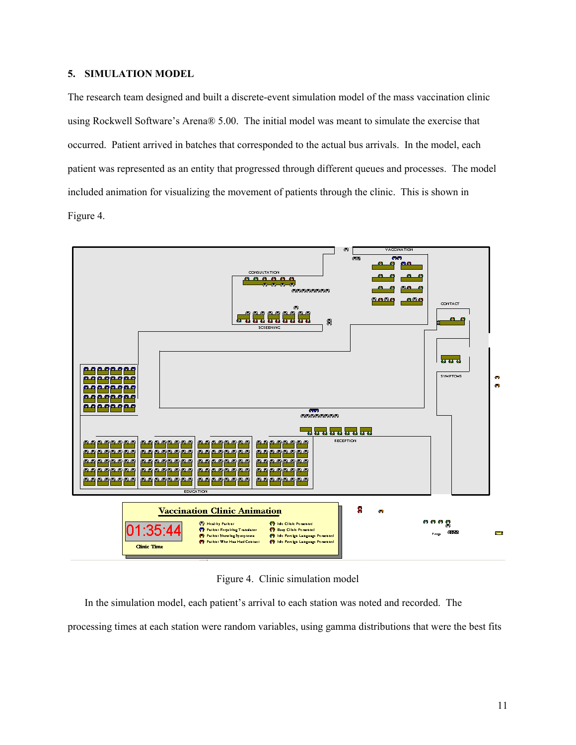## **5. SIMULATION MODEL**

The research team designed and built a discrete-event simulation model of the mass vaccination clinic using Rockwell Software's Arena® 5.00. The initial model was meant to simulate the exercise that occurred. Patient arrived in batches that corresponded to the actual bus arrivals. In the model, each patient was represented as an entity that progressed through different queues and processes. The model included animation for visualizing the movement of patients through the clinic. This is shown in Figure 4.



Figure 4. Clinic simulation model

In the simulation model, each patient's arrival to each station was noted and recorded. The processing times at each station were random variables, using gamma distributions that were the best fits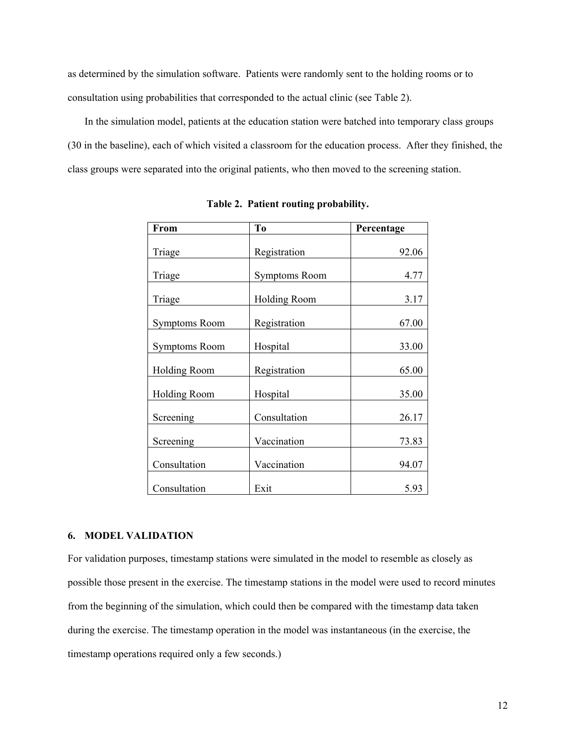as determined by the simulation software. Patients were randomly sent to the holding rooms or to consultation using probabilities that corresponded to the actual clinic (see Table 2).

In the simulation model, patients at the education station were batched into temporary class groups (30 in the baseline), each of which visited a classroom for the education process. After they finished, the class groups were separated into the original patients, who then moved to the screening station.

| From                 | To                   | Percentage |
|----------------------|----------------------|------------|
| Triage               | Registration         | 92.06      |
| Triage               | <b>Symptoms Room</b> | 4.77       |
| Triage               | <b>Holding Room</b>  | 3.17       |
| <b>Symptoms Room</b> | Registration         | 67.00      |
| <b>Symptoms Room</b> | Hospital             | 33.00      |
| <b>Holding Room</b>  | Registration         | 65.00      |
| <b>Holding Room</b>  | Hospital             | 35.00      |
| Screening            | Consultation         | 26.17      |
| Screening            | Vaccination          | 73.83      |
| Consultation         | Vaccination          | 94.07      |
| Consultation         | Exit                 | 5.93       |

**Table 2. Patient routing probability.** 

#### **6. MODEL VALIDATION**

For validation purposes, timestamp stations were simulated in the model to resemble as closely as possible those present in the exercise. The timestamp stations in the model were used to record minutes from the beginning of the simulation, which could then be compared with the timestamp data taken during the exercise. The timestamp operation in the model was instantaneous (in the exercise, the timestamp operations required only a few seconds.)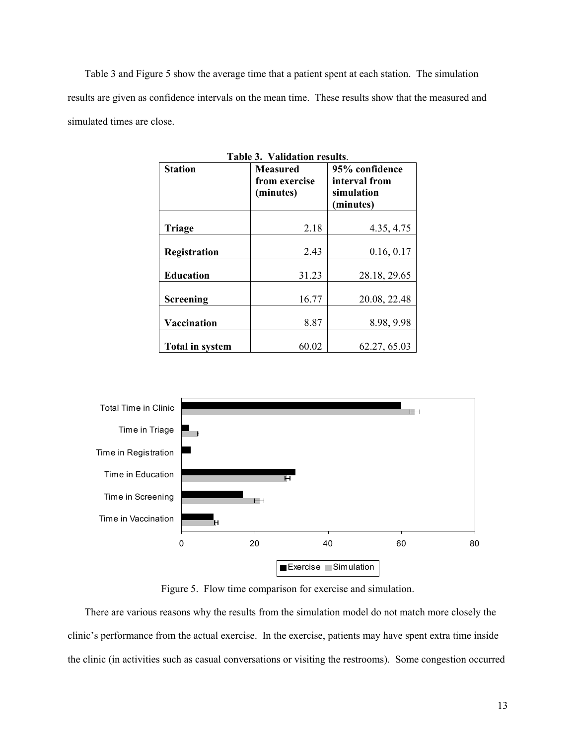Table 3 and Figure 5 show the average time that a patient spent at each station. The simulation results are given as confidence intervals on the mean time. These results show that the measured and simulated times are close.

| Table 3. Validation results. |                                        |                                                            |  |
|------------------------------|----------------------------------------|------------------------------------------------------------|--|
| <b>Station</b>               | Measured<br>from exercise<br>(minutes) | 95% confidence<br>interval from<br>simulation<br>(minutes) |  |
| Triage                       | 2.18                                   | 4.35, 4.75                                                 |  |
| Registration                 | 2.43                                   | 0.16, 0.17                                                 |  |
| <b>Education</b>             | 31.23                                  | 28.18, 29.65                                               |  |
| <b>Screening</b>             | 16.77                                  | 20.08, 22.48                                               |  |
| Vaccination                  | 8.87                                   | 8.98, 9.98                                                 |  |
| <b>Total in system</b>       | 60.02                                  | 62.27, 65.03                                               |  |



Figure 5. Flow time comparison for exercise and simulation.

There are various reasons why the results from the simulation model do not match more closely the clinic's performance from the actual exercise. In the exercise, patients may have spent extra time inside the clinic (in activities such as casual conversations or visiting the restrooms). Some congestion occurred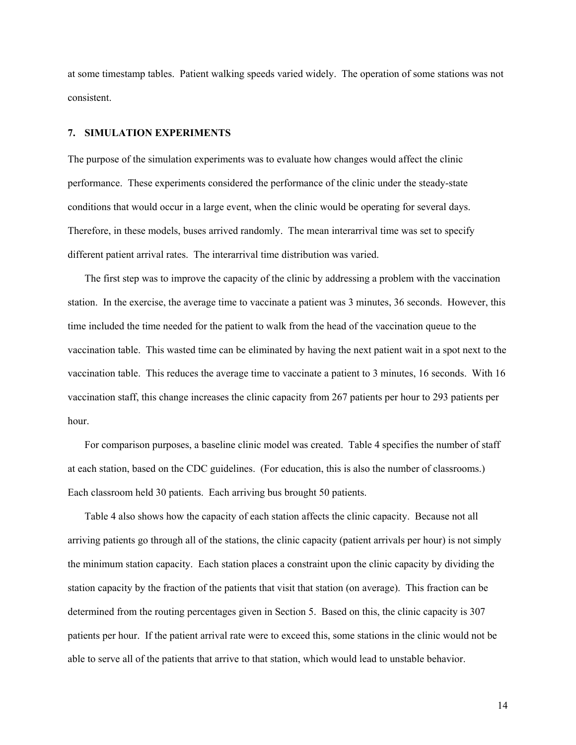at some timestamp tables. Patient walking speeds varied widely. The operation of some stations was not consistent.

#### **7. SIMULATION EXPERIMENTS**

The purpose of the simulation experiments was to evaluate how changes would affect the clinic performance. These experiments considered the performance of the clinic under the steady-state conditions that would occur in a large event, when the clinic would be operating for several days. Therefore, in these models, buses arrived randomly. The mean interarrival time was set to specify different patient arrival rates. The interarrival time distribution was varied.

The first step was to improve the capacity of the clinic by addressing a problem with the vaccination station. In the exercise, the average time to vaccinate a patient was 3 minutes, 36 seconds. However, this time included the time needed for the patient to walk from the head of the vaccination queue to the vaccination table. This wasted time can be eliminated by having the next patient wait in a spot next to the vaccination table. This reduces the average time to vaccinate a patient to 3 minutes, 16 seconds. With 16 vaccination staff, this change increases the clinic capacity from 267 patients per hour to 293 patients per hour.

For comparison purposes, a baseline clinic model was created. Table 4 specifies the number of staff at each station, based on the CDC guidelines. (For education, this is also the number of classrooms.) Each classroom held 30 patients. Each arriving bus brought 50 patients.

Table 4 also shows how the capacity of each station affects the clinic capacity. Because not all arriving patients go through all of the stations, the clinic capacity (patient arrivals per hour) is not simply the minimum station capacity. Each station places a constraint upon the clinic capacity by dividing the station capacity by the fraction of the patients that visit that station (on average). This fraction can be determined from the routing percentages given in Section 5. Based on this, the clinic capacity is 307 patients per hour. If the patient arrival rate were to exceed this, some stations in the clinic would not be able to serve all of the patients that arrive to that station, which would lead to unstable behavior.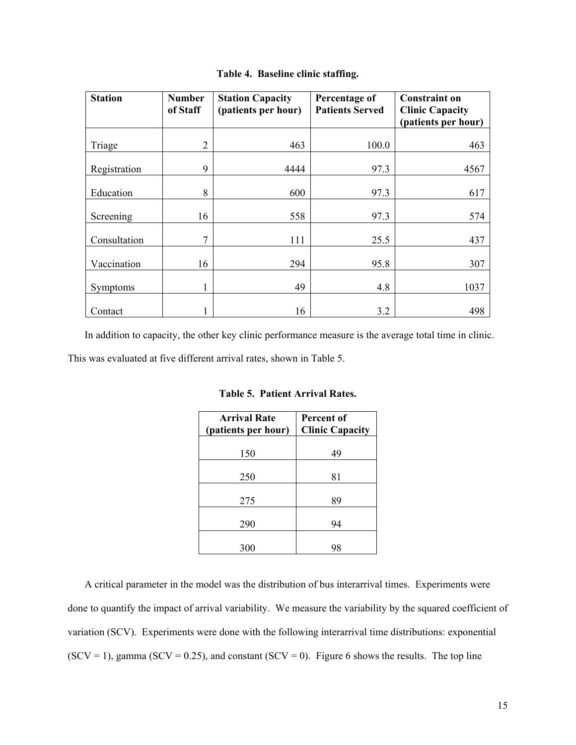| <b>Station</b> | <b>Number</b><br>of Staff | <b>Station Capacity</b><br>(patients per hour) | Percentage of<br><b>Patients Served</b> | <b>Constraint on</b><br><b>Clinic Capacity</b><br>(patients per hour) |
|----------------|---------------------------|------------------------------------------------|-----------------------------------------|-----------------------------------------------------------------------|
| Triage         | $\overline{2}$            | 463                                            | 100.0                                   | 463                                                                   |
| Registration   | 9                         | 4444                                           | 97.3                                    | 4567                                                                  |
| Education      | 8                         | 600                                            | 97.3                                    | 617                                                                   |
| Screening      | 16                        | 558                                            | 97.3                                    | 574                                                                   |
| Consultation   | 7                         | 111                                            | 25.5                                    | 437                                                                   |
| Vaccination    | 16                        | 294                                            | 95.8                                    | 307                                                                   |
| Symptoms       | 1                         | 49                                             | 4.8                                     | 1037                                                                  |
| Contact        |                           | 16                                             | 3.2                                     | 498                                                                   |

**Table 4. Baseline clinic staffing.** 

In addition to capacity, the other key clinic performance measure is the average total time in clinic.

This was evaluated at five different arrival rates, shown in Table 5.

| <b>Arrival Rate</b><br>(patients per hour) | Percent of<br><b>Clinic Capacity</b> |  |
|--------------------------------------------|--------------------------------------|--|
| 150                                        | 49                                   |  |
| 250                                        | 81                                   |  |
| 275                                        | 89                                   |  |
| 290                                        | 94                                   |  |
| 300                                        | YΣ                                   |  |

**Table 5. Patient Arrival Rates.** 

A critical parameter in the model was the distribution of bus interarrival times. Experiments were done to quantify the impact of arrival variability. We measure the variability by the squared coefficient of variation (SCV). Experiments were done with the following interarrival time distributions: exponential  $(SCV = 1)$ , gamma  $(SCV = 0.25)$ , and constant  $(SCV = 0)$ . Figure 6 shows the results. The top line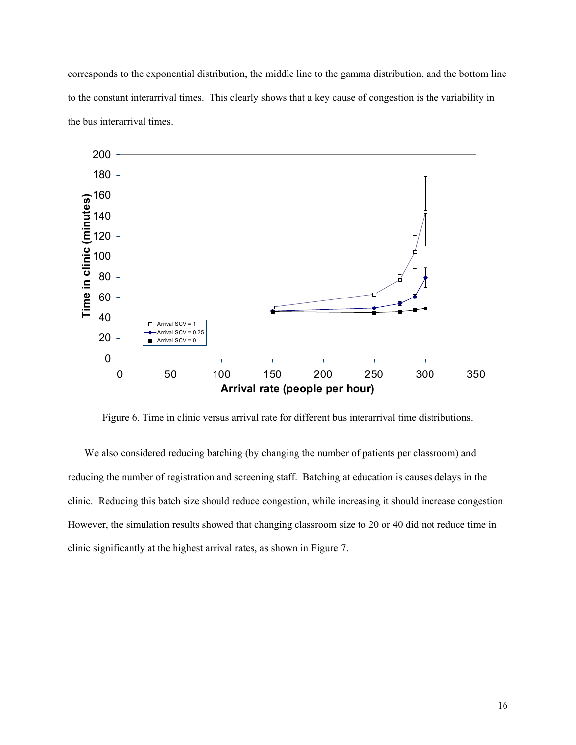corresponds to the exponential distribution, the middle line to the gamma distribution, and the bottom line to the constant interarrival times. This clearly shows that a key cause of congestion is the variability in the bus interarrival times.



Figure 6. Time in clinic versus arrival rate for different bus interarrival time distributions.

We also considered reducing batching (by changing the number of patients per classroom) and reducing the number of registration and screening staff. Batching at education is causes delays in the clinic. Reducing this batch size should reduce congestion, while increasing it should increase congestion. However, the simulation results showed that changing classroom size to 20 or 40 did not reduce time in clinic significantly at the highest arrival rates, as shown in Figure 7.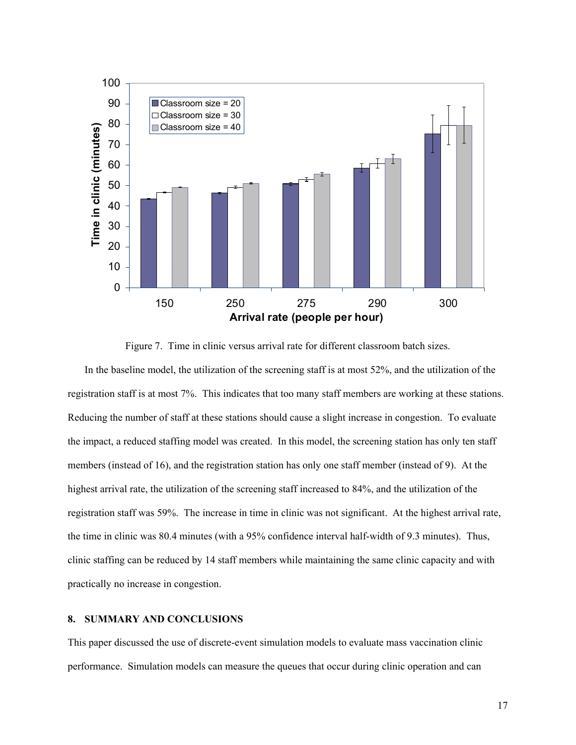

Figure 7. Time in clinic versus arrival rate for different classroom batch sizes.

In the baseline model, the utilization of the screening staff is at most 52%, and the utilization of the registration staff is at most 7%. This indicates that too many staff members are working at these stations. Reducing the number of staff at these stations should cause a slight increase in congestion. To evaluate the impact, a reduced staffing model was created. In this model, the screening station has only ten staff members (instead of 16), and the registration station has only one staff member (instead of 9). At the highest arrival rate, the utilization of the screening staff increased to 84%, and the utilization of the registration staff was 59%. The increase in time in clinic was not significant. At the highest arrival rate, the time in clinic was 80.4 minutes (with a 95% confidence interval half-width of 9.3 minutes). Thus, clinic staffing can be reduced by 14 staff members while maintaining the same clinic capacity and with practically no increase in congestion.

#### **8. SUMMARY AND CONCLUSIONS**

This paper discussed the use of discrete-event simulation models to evaluate mass vaccination clinic performance. Simulation models can measure the queues that occur during clinic operation and can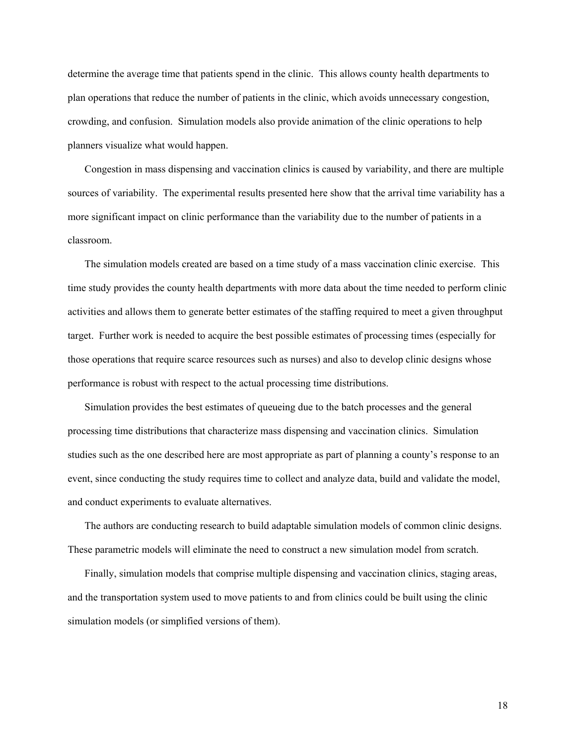determine the average time that patients spend in the clinic. This allows county health departments to plan operations that reduce the number of patients in the clinic, which avoids unnecessary congestion, crowding, and confusion. Simulation models also provide animation of the clinic operations to help planners visualize what would happen.

Congestion in mass dispensing and vaccination clinics is caused by variability, and there are multiple sources of variability. The experimental results presented here show that the arrival time variability has a more significant impact on clinic performance than the variability due to the number of patients in a classroom.

The simulation models created are based on a time study of a mass vaccination clinic exercise. This time study provides the county health departments with more data about the time needed to perform clinic activities and allows them to generate better estimates of the staffing required to meet a given throughput target. Further work is needed to acquire the best possible estimates of processing times (especially for those operations that require scarce resources such as nurses) and also to develop clinic designs whose performance is robust with respect to the actual processing time distributions.

Simulation provides the best estimates of queueing due to the batch processes and the general processing time distributions that characterize mass dispensing and vaccination clinics. Simulation studies such as the one described here are most appropriate as part of planning a county's response to an event, since conducting the study requires time to collect and analyze data, build and validate the model, and conduct experiments to evaluate alternatives.

The authors are conducting research to build adaptable simulation models of common clinic designs. These parametric models will eliminate the need to construct a new simulation model from scratch.

Finally, simulation models that comprise multiple dispensing and vaccination clinics, staging areas, and the transportation system used to move patients to and from clinics could be built using the clinic simulation models (or simplified versions of them).